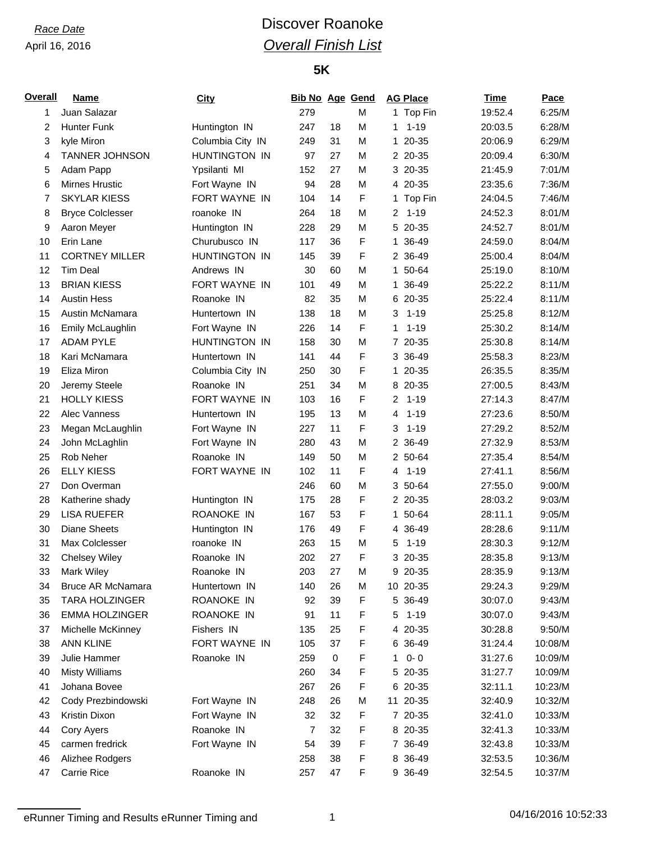# *Race Date* **Discover Roanoke** *Overall Finish List*

### **5K**

| <b>Overall</b> | <b>Name</b>             | <b>City</b>       | <b>Bib No Age Gend</b> |             |        | <b>AG Place</b>            | <b>Time</b> | Pace    |
|----------------|-------------------------|-------------------|------------------------|-------------|--------|----------------------------|-------------|---------|
| 1              | Juan Salazar            |                   | 279                    |             | M      | 1 Top Fin                  | 19:52.4     | 6:25/M  |
| 2              | <b>Hunter Funk</b>      | Huntington IN     | 247                    | 18          | М      | $1 - 19$<br>1.             | 20:03.5     | 6:28/M  |
| 3              | kyle Miron              | Columbia City IN  | 249                    | 31          | M      | 20-35<br>$\mathbf{1}$      | 20:06.9     | 6:29/M  |
| 4              | TANNER JOHNSON          | HUNTINGTON IN     | 97                     | 27          | M      | 2 20-35                    | 20:09.4     | 6:30/M  |
| 5              | Adam Papp               | Ypsilanti MI      | 152                    | 27          | M      | 3 20-35                    | 21:45.9     | 7:01/M  |
| 6              | Mirnes Hrustic          | Fort Wayne IN     | 94                     | 28          | M      | 4 20-35                    | 23:35.6     | 7:36/M  |
| 7              | <b>SKYLAR KIESS</b>     | FORT WAYNE IN     | 104                    | 14          | F      | Top Fin<br>$\mathbf{1}$    | 24:04.5     | 7:46/M  |
| 8              | <b>Bryce Colclesser</b> | roanoke IN        | 264                    | 18          | M      | $1 - 19$<br>2              | 24:52.3     | 8:01/M  |
| 9              | Aaron Meyer             | Huntington IN     | 228                    | 29          | M      | 5 20-35                    | 24:52.7     | 8:01/M  |
| 10             | Erin Lane               | Churubusco IN     | 117                    | 36          | F      | 1 36-49                    | 24:59.0     | 8:04/M  |
| 11             | <b>CORTNEY MILLER</b>   | HUNTINGTON IN     | 145                    | 39          | F      | 2 36-49                    | 25:00.4     | 8:04/M  |
| 12             | <b>Tim Deal</b>         | Andrews IN        | 30                     | 60          | M      | 1 50-64                    | 25:19.0     | 8:10/M  |
| 13             | <b>BRIAN KIESS</b>      | FORT WAYNE IN     | 101                    | 49          | M      | 1 36-49                    | 25:22.2     | 8:11/M  |
| 14             | <b>Austin Hess</b>      | Roanoke IN        | 82                     | 35          | M      | 6 20-35                    | 25:22.4     | 8:11/M  |
| 15             | Austin McNamara         | Huntertown IN     | 138                    | 18          | M      | $1 - 19$<br>3              | 25:25.8     | 8:12/M  |
| 16             | Emily McLaughlin        | Fort Wayne IN     | 226                    | 14          | F      | $1 - 19$<br>1              | 25:30.2     | 8:14/M  |
| 17             | <b>ADAM PYLE</b>        | HUNTINGTON IN     | 158                    | 30          | M      | 7 20-35                    | 25:30.8     | 8:14/M  |
| 18             | Kari McNamara           | Huntertown IN     | 141                    | 44          | F      | 3 36-49                    | 25:58.3     | 8:23/M  |
| 19             | Eliza Miron             | Columbia City IN  | 250                    | 30          | F      | 1 20-35                    | 26:35.5     | 8:35/M  |
| 20             | Jeremy Steele           | Roanoke IN        | 251                    | 34          | M      | 8 20-35                    | 27:00.5     | 8:43/M  |
| 21             | <b>HOLLY KIESS</b>      | FORT WAYNE IN     | 103                    | 16          | F      | $\overline{c}$<br>$1 - 19$ | 27:14.3     | 8:47/M  |
| 22             | <b>Alec Vanness</b>     | Huntertown IN     | 195                    | 13          | M      | $1 - 19$<br>4              | 27:23.6     | 8:50/M  |
| 23             | Megan McLaughlin        | Fort Wayne IN     | 227                    | 11          | F      | $1 - 19$<br>3              | 27:29.2     | 8:52/M  |
| 24             | John McLaghlin          | Fort Wayne IN     | 280                    | 43          | M      | 2 36-49                    | 27:32.9     | 8:53/M  |
| 25             | Rob Neher               | Roanoke IN        | 149                    | 50          | M      | 2 50-64                    | 27:35.4     | 8:54/M  |
| 26             | <b>ELLY KIESS</b>       | FORT WAYNE IN     | 102                    | 11          | F      | $1 - 19$<br>4              | 27:41.1     | 8:56/M  |
| 27             | Don Overman             |                   | 246                    | 60          | M      | 3 50-64                    | 27:55.0     | 9:00/M  |
|                |                         |                   |                        |             |        |                            |             |         |
| 28             | Katherine shady         | Huntington IN     | 175                    | 28          | F<br>F | 2 20-35                    | 28:03.2     | 9:03/M  |
| 29             | <b>LISA RUEFER</b>      | <b>ROANOKE IN</b> | 167                    | 53          |        | 1 50-64                    | 28:11.1     | 9:05/M  |
| 30             | <b>Diane Sheets</b>     | Huntington IN     | 176                    | 49          | F      | 4 36-49                    | 28:28.6     | 9:11/M  |
| 31             | Max Colclesser          | roanoke IN        | 263                    | 15          | M      | $1 - 19$<br>5              | 28:30.3     | 9:12/M  |
| 32             | <b>Chelsey Wiley</b>    | Roanoke IN        | 202                    | 27          | F      | 3 20-35                    | 28:35.8     | 9:13/M  |
| 33             | Mark Wiley              | Roanoke IN        | 203                    | 27          | M      | 9 20-35                    | 28:35.9     | 9:13/M  |
| 34             | Bruce AR McNamara       | Huntertown IN     | 140                    | 26          | M      | 10 20-35                   | 29:24.3     | 9:29/M  |
| 35             | <b>TARA HOLZINGER</b>   | ROANOKE IN        | 92                     | 39          | F      | 5 36-49                    | 30:07.0     | 9:43/M  |
| 36             | EMMA HOLZINGER          | ROANOKE IN        | 91                     | 11          | F      | $1 - 19$<br>5              | 30:07.0     | 9:43/M  |
| 37             | Michelle McKinney       | Fishers IN        | 135                    | 25          | F      | 4 20-35                    | 30:28.8     | 9:50/M  |
| 38             | <b>ANN KLINE</b>        | FORT WAYNE IN     | 105                    | 37          | F      | 6 36-49                    | 31:24.4     | 10:08/M |
| 39             | Julie Hammer            | Roanoke IN        | 259                    | $\mathbf 0$ | F      | $0 - 0$<br>1               | 31:27.6     | 10:09/M |
| 40             | <b>Misty Williams</b>   |                   | 260                    | 34          | F      | 5 20-35                    | 31:27.7     | 10:09/M |
| 41             | Johana Bovee            |                   | 267                    | 26          | F      | 6 20-35                    | 32:11.1     | 10:23/M |
| 42             | Cody Prezbindowski      | Fort Wayne IN     | 248                    | 26          | M      | 11 20-35                   | 32:40.9     | 10:32/M |
| 43             | Kristin Dixon           | Fort Wayne IN     | 32                     | 32          | F      | 7 20-35                    | 32:41.0     | 10:33/M |
| 44             | Cory Ayers              | Roanoke IN        | 7                      | 32          | F      | 8 20-35                    | 32:41.3     | 10:33/M |
| 45             | carmen fredrick         | Fort Wayne IN     | 54                     | 39          | F      | 7 36-49                    | 32:43.8     | 10:33/M |
| 46             | Alizhee Rodgers         |                   | 258                    | 38          | F      | 8 36-49                    | 32:53.5     | 10:36/M |
| 47             | Carrie Rice             | Roanoke IN        | 257                    | 47          | F      | 9 36-49                    | 32:54.5     | 10:37/M |

eRunner Timing and Results eRunner Timing and 1 04/16/2016 10:52:33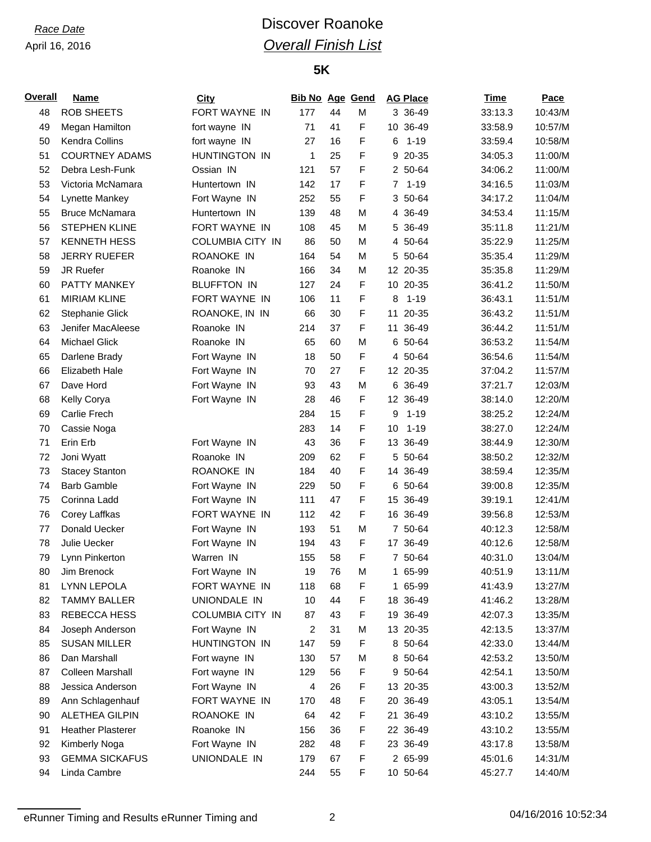# *Race Date* **Discover Roanoke** *Overall Finish List*

### **5K**

| <b>Overall</b> | <b>Name</b>              | <b>City</b>        | <b>Bib No Age Gend</b> |    |   | <b>AG Place</b> |          | <b>Time</b> | Pace    |
|----------------|--------------------------|--------------------|------------------------|----|---|-----------------|----------|-------------|---------|
| 48             | <b>ROB SHEETS</b>        | FORT WAYNE IN      | 177                    | 44 | M |                 | 3 36-49  | 33:13.3     | 10:43/M |
| 49             | Megan Hamilton           | fort wayne IN      | 71                     | 41 | F | 10 36-49        |          | 33:58.9     | 10:57/M |
| 50             | Kendra Collins           | fort wayne IN      | 27                     | 16 | F | 6               | $1 - 19$ | 33:59.4     | 10:58/M |
| 51             | <b>COURTNEY ADAMS</b>    | HUNTINGTON IN      | 1                      | 25 | F |                 | 9 20-35  | 34:05.3     | 11:00/M |
| 52             | Debra Lesh-Funk          | Ossian IN          | 121                    | 57 | F |                 | 2 50-64  | 34:06.2     | 11:00/M |
| 53             | Victoria McNamara        | Huntertown IN      | 142                    | 17 | F | 7               | $1 - 19$ | 34:16.5     | 11:03/M |
| 54             | Lynette Mankey           | Fort Wayne IN      | 252                    | 55 | F |                 | 3 50-64  | 34:17.2     | 11:04/M |
| 55             | <b>Bruce McNamara</b>    | Huntertown IN      | 139                    | 48 | M |                 | 4 36-49  | 34:53.4     | 11:15/M |
| 56             | <b>STEPHEN KLINE</b>     | FORT WAYNE IN      | 108                    | 45 | M |                 | 5 36-49  | 35:11.8     | 11:21/M |
| 57             | <b>KENNETH HESS</b>      | COLUMBIA CITY IN   | 86                     | 50 | M |                 | 4 50-64  | 35:22.9     | 11:25/M |
| 58             | <b>JERRY RUEFER</b>      | ROANOKE IN         | 164                    | 54 | M |                 | 5 50-64  | 35:35.4     | 11:29/M |
| 59             | JR Ruefer                | Roanoke IN         | 166                    | 34 | M | 12 20-35        |          | 35:35.8     | 11:29/M |
| 60             | PATTY MANKEY             | <b>BLUFFTON IN</b> | 127                    | 24 | F | 10 20-35        |          | 36:41.2     | 11:50/M |
| 61             | <b>MIRIAM KLINE</b>      | FORT WAYNE IN      | 106                    | 11 | F | 8               | $1 - 19$ | 36:43.1     | 11:51/M |
| 62             | <b>Stephanie Glick</b>   | ROANOKE, IN IN     | 66                     | 30 | F | 11              | 20-35    | 36:43.2     | 11:51/M |
| 63             | Jenifer MacAleese        | Roanoke IN         | 214                    | 37 | F | 11 36-49        |          | 36:44.2     | 11:51/M |
| 64             | <b>Michael Glick</b>     | Roanoke IN         | 65                     | 60 | M |                 | 6 50-64  | 36:53.2     | 11:54/M |
| 65             | Darlene Brady            | Fort Wayne IN      | 18                     | 50 | F |                 | 4 50-64  | 36:54.6     | 11:54/M |
| 66             | Elizabeth Hale           | Fort Wayne IN      | 70                     | 27 | F | 12 20-35        |          | 37:04.2     | 11:57/M |
| 67             | Dave Hord                | Fort Wayne IN      | 93                     | 43 | M |                 | 6 36-49  | 37:21.7     | 12:03/M |
| 68             | Kelly Corya              | Fort Wayne IN      | 28                     | 46 | F | 12 36-49        |          | 38:14.0     | 12:20/M |
| 69             | Carlie Frech             |                    | 284                    | 15 | F | 9               | $1 - 19$ | 38:25.2     | 12:24/M |
| 70             | Cassie Noga              |                    | 283                    | 14 | F | 10              | $1 - 19$ | 38:27.0     | 12:24/M |
| 71             | Erin Erb                 | Fort Wayne IN      | 43                     | 36 | F | 13 36-49        |          | 38:44.9     | 12:30/M |
| 72             | Joni Wyatt               | Roanoke IN         | 209                    | 62 | F |                 | 5 50-64  | 38:50.2     | 12:32/M |
| 73             | <b>Stacey Stanton</b>    | ROANOKE IN         | 184                    | 40 | F | 14 36-49        |          | 38:59.4     | 12:35/M |
| 74             | <b>Barb Gamble</b>       | Fort Wayne IN      | 229                    | 50 | F |                 | 6 50-64  | 39:00.8     | 12:35/M |
| 75             | Corinna Ladd             | Fort Wayne IN      | 111                    | 47 | F | 15 36-49        |          | 39:19.1     | 12:41/M |
| 76             | Corey Laffkas            | FORT WAYNE IN      | 112                    | 42 | F | 16 36-49        |          | 39:56.8     | 12:53/M |
| 77             | Donald Uecker            | Fort Wayne IN      | 193                    | 51 | M |                 | 7 50-64  | 40:12.3     | 12:58/M |
| 78             | Julie Uecker             | Fort Wayne IN      | 194                    | 43 | F | 17 36-49        |          | 40:12.6     | 12:58/M |
| 79             | Lynn Pinkerton           | Warren IN          | 155                    | 58 | F |                 | 7 50-64  | 40:31.0     | 13:04/M |
| 80             | Jim Brenock              | Fort Wayne IN      | 19                     | 76 | M |                 | 1 65-99  | 40:51.9     | 13:11/M |
| 81             | <b>LYNN LEPOLA</b>       | FORT WAYNE IN      | 118                    | 68 | F | 1.              | 65-99    | 41:43.9     | 13:27/M |
| 82             | TAMMY BALLER             | UNIONDALE IN       | 10                     | 44 | F | 18 36-49        |          | 41:46.2     | 13:28/M |
| 83             | REBECCA HESS             | COLUMBIA CITY IN   | 87                     | 43 | F | 19 36-49        |          | 42:07.3     | 13:35/M |
| 84             | Joseph Anderson          | Fort Wayne IN      | 2                      | 31 | M | 13 20-35        |          | 42:13.5     | 13:37/M |
| 85             | <b>SUSAN MILLER</b>      | HUNTINGTON IN      | 147                    | 59 | F |                 | 8 50-64  | 42:33.0     | 13:44/M |
| 86             | Dan Marshall             | Fort wayne IN      | 130                    | 57 | M |                 | 8 50-64  | 42:53.2     | 13:50/M |
| 87             | <b>Colleen Marshall</b>  | Fort wayne IN      | 129                    | 56 | F |                 | 9 50-64  | 42:54.1     | 13:50/M |
| 88             | Jessica Anderson         | Fort Wayne IN      | 4                      | 26 | F | 13 20-35        |          | 43:00.3     | 13:52/M |
| 89             | Ann Schlagenhauf         | FORT WAYNE IN      | 170                    | 48 | F | 20              | 36-49    | 43:05.1     | 13:54/M |
| 90             | <b>ALETHEA GILPIN</b>    | ROANOKE IN         | 64                     | 42 | F | 21 36-49        |          | 43:10.2     | 13:55/M |
| 91             | <b>Heather Plasterer</b> | Roanoke IN         | 156                    | 36 | F | 22 36-49        |          | 43:10.2     | 13:55/M |
| 92             | Kimberly Noga            | Fort Wayne IN      | 282                    | 48 | F | 23 36-49        |          | 43:17.8     | 13:58/M |
| 93             | <b>GEMMA SICKAFUS</b>    | UNIONDALE IN       | 179                    | 67 | F |                 | 2 65-99  | 45:01.6     | 14:31/M |
| 94             | Linda Cambre             |                    | 244                    | 55 | F | 10 50-64        |          | 45:27.7     | 14:40/M |

eRunner Timing and Results eRunner Timing and 2 04/16/2016 10:52:34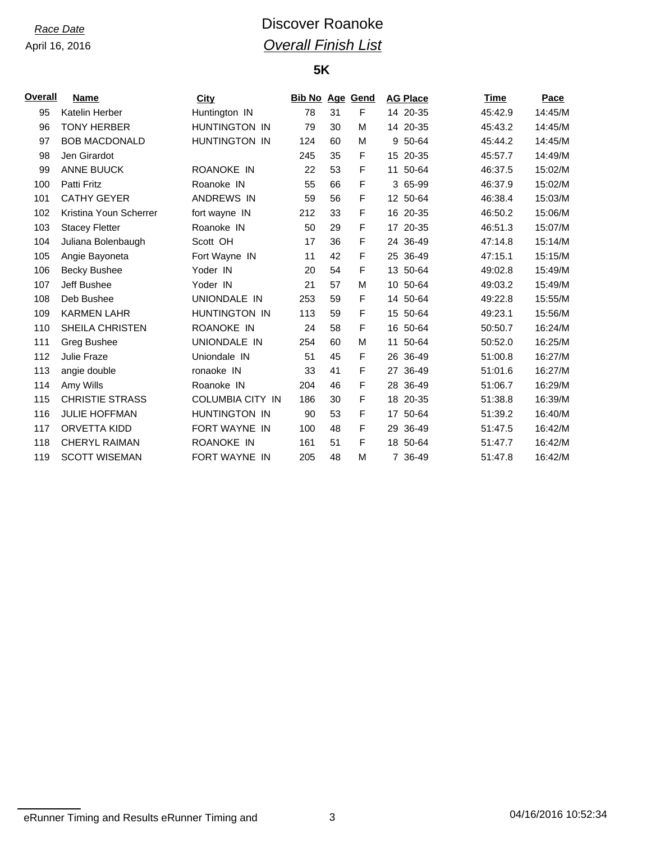# *Race Date* **Discover Roanoke** *Overall Finish List*

### **5K**

| Overall | Name                   | City                    | <b>Bib No Age Gend</b> |    |   |    | <b>AG Place</b> | Time    | Pace    |
|---------|------------------------|-------------------------|------------------------|----|---|----|-----------------|---------|---------|
| 95      | Katelin Herber         | Huntington IN           | 78                     | 31 | F |    | 14 20-35        | 45:42.9 | 14:45/M |
| 96      | <b>TONY HERBER</b>     | <b>HUNTINGTON IN</b>    | 79                     | 30 | M |    | 14 20-35        | 45:43.2 | 14:45/M |
| 97      | <b>BOB MACDONALD</b>   | <b>HUNTINGTON IN</b>    | 124                    | 60 | М |    | 9 50-64         | 45:44.2 | 14:45/M |
| 98      | Jen Girardot           |                         | 245                    | 35 | F |    | 15 20-35        | 45:57.7 | 14:49/M |
| 99      | <b>ANNE BUUCK</b>      | ROANOKE IN              | 22                     | 53 | F |    | 11 50-64        | 46:37.5 | 15:02/M |
| 100     | Patti Fritz            | Roanoke IN              | 55                     | 66 | F |    | 3 65-99         | 46:37.9 | 15:02/M |
| 101     | <b>CATHY GEYER</b>     | <b>ANDREWS IN</b>       | 59                     | 56 | F |    | 12 50-64        | 46:38.4 | 15:03/M |
| 102     | Kristina Youn Scherrer | fort wayne IN           | 212                    | 33 | F |    | 16 20-35        | 46:50.2 | 15:06/M |
| 103     | <b>Stacey Fletter</b>  | Roanoke IN              | 50                     | 29 | F | 17 | 20-35           | 46:51.3 | 15:07/M |
| 104     | Juliana Bolenbaugh     | Scott OH                | 17                     | 36 | F |    | 24 36-49        | 47:14.8 | 15:14/M |
| 105     | Angie Bayoneta         | Fort Wayne IN           | 11                     | 42 | F |    | 25 36-49        | 47:15.1 | 15:15/M |
| 106     | <b>Becky Bushee</b>    | Yoder IN                | 20                     | 54 | F |    | 13 50-64        | 49:02.8 | 15:49/M |
| 107     | Jeff Bushee            | Yoder IN                | 21                     | 57 | M |    | 10 50-64        | 49:03.2 | 15:49/M |
| 108     | Deb Bushee             | UNIONDALE IN            | 253                    | 59 | F |    | 14 50-64        | 49:22.8 | 15:55/M |
| 109     | <b>KARMEN LAHR</b>     | <b>HUNTINGTON IN</b>    | 113                    | 59 | F | 15 | 50-64           | 49:23.1 | 15:56/M |
| 110     | SHEILA CHRISTEN        | ROANOKE IN              | 24                     | 58 | F |    | 16 50-64        | 50:50.7 | 16:24/M |
| 111     | Greg Bushee            | UNIONDALE IN            | 254                    | 60 | M | 11 | 50-64           | 50:52.0 | 16:25/M |
| 112     | Julie Fraze            | Uniondale IN            | 51                     | 45 | F |    | 26 36-49        | 51:00.8 | 16:27/M |
| 113     | angie double           | ronaoke IN              | 33                     | 41 | F |    | 27 36-49        | 51:01.6 | 16:27/M |
| 114     | Amy Wills              | Roanoke IN              | 204                    | 46 | F |    | 28 36-49        | 51:06.7 | 16:29/M |
| 115     | <b>CHRISTIE STRASS</b> | <b>COLUMBIA CITY IN</b> | 186                    | 30 | F |    | 18 20-35        | 51:38.8 | 16:39/M |
| 116     | <b>JULIE HOFFMAN</b>   | HUNTINGTON IN           | 90                     | 53 | F | 17 | 50-64           | 51:39.2 | 16:40/M |
| 117     | ORVETTA KIDD           | <b>FORT WAYNE IN</b>    | 100                    | 48 | F | 29 | 36-49           | 51:47.5 | 16:42/M |
| 118     | <b>CHERYL RAIMAN</b>   | ROANOKE IN              | 161                    | 51 | F |    | 18 50-64        | 51:47.7 | 16:42/M |
| 119     | <b>SCOTT WISEMAN</b>   | <b>FORT WAYNE IN</b>    | 205                    | 48 | М |    | 7 36-49         | 51:47.8 | 16:42/M |

eRunner Timing and Results eRunner Timing and 3 3 04/16/2016 10:52:34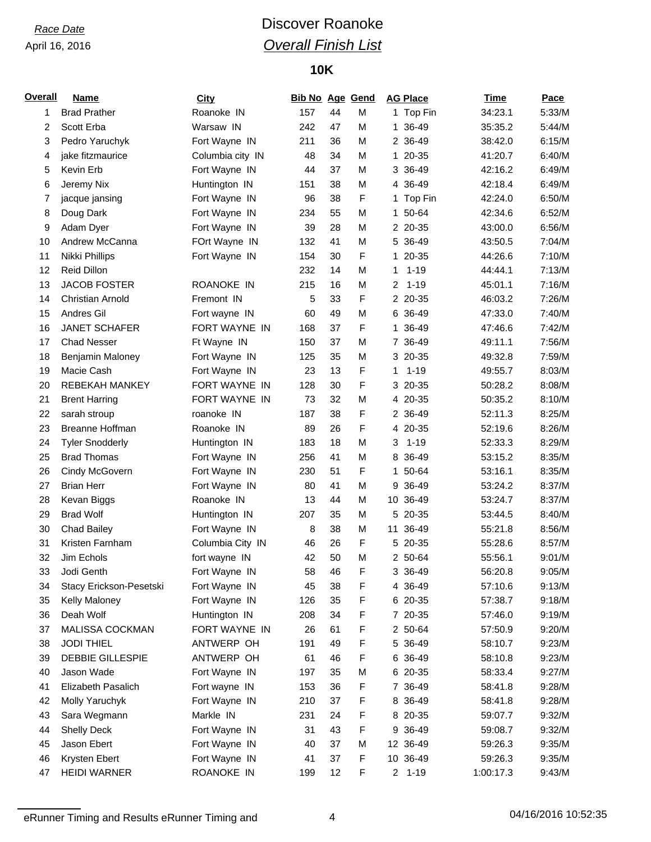# *Race Date* **Discover Roanoke** *Overall Finish List*

## **10K**

| <b>Overall</b> | <b>Name</b>             | <b>City</b>      | <b>Bib No Age Gend</b> |    |   |                | <b>AG Place</b> | <b>Time</b> | <b>Pace</b> |
|----------------|-------------------------|------------------|------------------------|----|---|----------------|-----------------|-------------|-------------|
| 1              | <b>Brad Prather</b>     | Roanoke IN       | 157                    | 44 | M |                | 1 Top Fin       | 34:23.1     | 5:33/M      |
| 2              | Scott Erba              | Warsaw IN        | 242                    | 47 | M | 1              | 36-49           | 35:35.2     | 5:44/M      |
| 3              | Pedro Yaruchyk          | Fort Wayne IN    | 211                    | 36 | M |                | 2 36-49         | 38:42.0     | 6:15/M      |
| 4              | jake fitzmaurice        | Columbia city IN | 48                     | 34 | M |                | 1 20-35         | 41:20.7     | 6:40/M      |
| 5              | Kevin Erb               | Fort Wayne IN    | 44                     | 37 | M |                | 3 36-49         | 42:16.2     | 6:49/M      |
| 6              | Jeremy Nix              | Huntington IN    | 151                    | 38 | M |                | 4 36-49         | 42:18.4     | 6:49/M      |
| 7              | jacque jansing          | Fort Wayne IN    | 96                     | 38 | F |                | 1 Top Fin       | 42:24.0     | 6:50/M      |
| 8              | Doug Dark               | Fort Wayne IN    | 234                    | 55 | M |                | 1 50-64         | 42:34.6     | 6:52/M      |
| 9              | Adam Dyer               | Fort Wayne IN    | 39                     | 28 | M |                | 2 20-35         | 43:00.0     | 6:56/M      |
| 10             | Andrew McCanna          | FOrt Wayne IN    | 132                    | 41 | M |                | 5 36-49         | 43:50.5     | 7:04/M      |
| 11             | Nikki Phillips          | Fort Wayne IN    | 154                    | 30 | F | $\mathbf{1}$   | 20-35           | 44:26.6     | 7:10/M      |
| 12             | <b>Reid Dillon</b>      |                  | 232                    | 14 | M | 1              | $1 - 19$        | 44:44.1     | 7:13/M      |
| 13             | <b>JACOB FOSTER</b>     | ROANOKE IN       | 215                    | 16 | M | $\overline{2}$ | $1 - 19$        | 45:01.1     | 7:16/M      |
| 14             | <b>Christian Arnold</b> | Fremont IN       | 5                      | 33 | F |                | 2 20-35         | 46:03.2     | 7:26/M      |
| 15             | Andres Gil              | Fort wayne IN    | 60                     | 49 | M |                | 6 36-49         | 47:33.0     | 7:40/M      |
| 16             | <b>JANET SCHAFER</b>    | FORT WAYNE IN    | 168                    | 37 | F |                | 1 36-49         | 47:46.6     | 7:42/M      |
| 17             | <b>Chad Nesser</b>      | Ft Wayne IN      | 150                    | 37 | M |                | 7 36-49         | 49:11.1     | 7:56/M      |
| 18             | Benjamin Maloney        | Fort Wayne IN    | 125                    | 35 | M |                | 3 20-35         | 49:32.8     | 7:59/M      |
| 19             | Macie Cash              | Fort Wayne IN    | 23                     | 13 | F | 1              | $1 - 19$        | 49:55.7     | 8:03/M      |
| 20             | <b>REBEKAH MANKEY</b>   | FORT WAYNE IN    | 128                    | 30 | F |                | 3 20-35         | 50:28.2     | 8:08/M      |
| 21             | <b>Brent Harring</b>    | FORT WAYNE IN    | 73                     | 32 | M |                | 4 20-35         | 50:35.2     | 8:10/M      |
| 22             | sarah stroup            | roanoke IN       | 187                    | 38 | F |                | 2 36-49         | 52:11.3     | 8:25/M      |
| 23             | Breanne Hoffman         | Roanoke IN       | 89                     | 26 | F |                | 4 20-35         | 52:19.6     | 8:26/M      |
| 24             | <b>Tyler Snodderly</b>  | Huntington IN    | 183                    | 18 | M | 3              | $1 - 19$        | 52:33.3     | 8:29/M      |
| 25             | <b>Brad Thomas</b>      | Fort Wayne IN    | 256                    | 41 | M |                | 8 36-49         | 53:15.2     | 8:35/M      |
| 26             | Cindy McGovern          | Fort Wayne IN    | 230                    | 51 | F |                | 1 50-64         | 53:16.1     | 8:35/M      |
| 27             | <b>Brian Herr</b>       | Fort Wayne IN    | 80                     | 41 | M |                | 9 36-49         | 53:24.2     | 8:37/M      |
| 28             | Kevan Biggs             | Roanoke IN       | 13                     | 44 | M |                | 10 36-49        | 53:24.7     | 8:37/M      |
| 29             | <b>Brad Wolf</b>        | Huntington IN    | 207                    | 35 | M |                | 5 20-35         | 53:44.5     | 8:40/M      |
| 30             | <b>Chad Bailey</b>      | Fort Wayne IN    | 8                      | 38 | M |                | 11 36-49        | 55:21.8     | 8:56/M      |
| 31             | Kristen Farnham         | Columbia City IN | 46                     | 26 | F |                | 5 20-35         | 55:28.6     | 8:57/M      |
| 32             | Jim Echols              | fort wayne IN    | 42                     | 50 | M |                | 2 50-64         | 55:56.1     | 9:01/M      |
| 33             | Jodi Genth              | Fort Wayne IN    | 58                     | 46 | F |                | 3 36-49         | 56:20.8     | 9:05/M      |
| 34             | Stacy Erickson-Pesetski | Fort Wayne IN    | 45                     | 38 | F |                | 4 36-49         | 57:10.6     | 9:13/M      |
| 35             | Kelly Maloney           | Fort Wayne IN    | 126                    | 35 | F |                | 6 20-35         | 57:38.7     | 9:18/M      |
| 36             | Deah Wolf               | Huntington IN    | 208                    | 34 | F |                | 7 20-35         | 57:46.0     | 9:19/M      |
| 37             | MALISSA COCKMAN         | FORT WAYNE IN    | 26                     | 61 | F |                | 2 50-64         | 57:50.9     | 9:20/M      |
| 38             | <b>JODI THIEL</b>       | ANTWERP OH       | 191                    | 49 | F |                | 5 36-49         | 58:10.7     | 9:23/M      |
| 39             | <b>DEBBIE GILLESPIE</b> | ANTWERP OH       | 61                     | 46 | F |                | 6 36-49         | 58:10.8     | 9:23/M      |
| 40             | Jason Wade              | Fort Wayne IN    | 197                    | 35 | M |                | 6 20-35         | 58:33.4     | 9:27/M      |
| 41             | Elizabeth Pasalich      | Fort wayne IN    | 153                    | 36 | F |                | 7 36-49         | 58:41.8     | 9:28/M      |
| 42             | Molly Yaruchyk          | Fort Wayne IN    | 210                    | 37 | F |                | 8 36-49         | 58:41.8     | 9:28/M      |
| 43             | Sara Wegmann            | Markle IN        | 231                    | 24 | F |                | 8 20-35         | 59:07.7     | 9:32/M      |
| 44             | <b>Shelly Deck</b>      | Fort Wayne IN    | 31                     | 43 | F |                | 9 36-49         | 59:08.7     | 9:32/M      |
| 45             | Jason Ebert             | Fort Wayne IN    | 40                     | 37 | M |                | 12 36-49        | 59:26.3     | 9:35/M      |
| 46             | Krysten Ebert           | Fort Wayne IN    | 41                     | 37 | F |                | 10 36-49        | 59:26.3     | 9:35/M      |
| 47             | <b>HEIDI WARNER</b>     | ROANOKE IN       | 199                    | 12 | F |                | $2 1 - 19$      | 1:00:17.3   | 9:43/M      |

eRunner Timing and Results eRunner Timing and 4 1 1 1 2016 10:52:35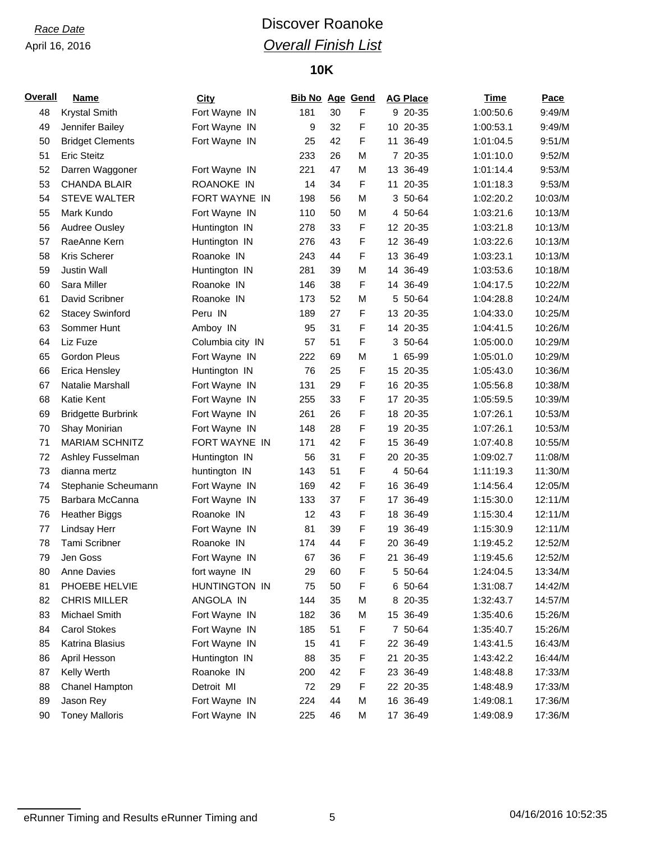# *Race Date* **Discover Roanoke** *Overall Finish List*

## **10K**

| <b>Overall</b> | <b>Name</b>               | City             | <b>Bib No Age Gend</b> |    |   | <b>AG Place</b> | <b>Time</b> | Pace    |
|----------------|---------------------------|------------------|------------------------|----|---|-----------------|-------------|---------|
| 48             | <b>Krystal Smith</b>      | Fort Wayne IN    | 181                    | 30 | F | 9 20-35         | 1:00:50.6   | 9:49/M  |
| 49             | Jennifer Bailey           | Fort Wayne IN    | 9                      | 32 | F | 10 20-35        | 1:00:53.1   | 9:49/M  |
| 50             | <b>Bridget Clements</b>   | Fort Wayne IN    | 25                     | 42 | F | 11 36-49        | 1:01:04.5   | 9:51/M  |
| 51             | <b>Eric Steitz</b>        |                  | 233                    | 26 | M | 7 20-35         | 1:01:10.0   | 9:52/M  |
| 52             | Darren Waggoner           | Fort Wayne IN    | 221                    | 47 | M | 13 36-49        | 1:01:14.4   | 9:53/M  |
| 53             | <b>CHANDA BLAIR</b>       | ROANOKE IN       | 14                     | 34 | F | 11 20-35        | 1:01:18.3   | 9:53/M  |
| 54             | <b>STEVE WALTER</b>       | FORT WAYNE IN    | 198                    | 56 | M | 3 50-64         | 1:02:20.2   | 10:03/M |
| 55             | Mark Kundo                | Fort Wayne IN    | 110                    | 50 | M | 4 50-64         | 1:03:21.6   | 10:13/M |
| 56             | Audree Ousley             | Huntington IN    | 278                    | 33 | F | 12 20-35        | 1:03:21.8   | 10:13/M |
| 57             | RaeAnne Kern              | Huntington IN    | 276                    | 43 | F | 12 36-49        | 1:03:22.6   | 10:13/M |
| 58             | Kris Scherer              | Roanoke IN       | 243                    | 44 | F | 13 36-49        | 1:03:23.1   | 10:13/M |
| 59             | <b>Justin Wall</b>        | Huntington IN    | 281                    | 39 | M | 14 36-49        | 1:03:53.6   | 10:18/M |
| 60             | Sara Miller               | Roanoke IN       | 146                    | 38 | F | 14 36-49        | 1:04:17.5   | 10:22/M |
| 61             | David Scribner            | Roanoke IN       | 173                    | 52 | M | 5 50-64         | 1:04:28.8   | 10:24/M |
| 62             | <b>Stacey Swinford</b>    | Peru IN          | 189                    | 27 | F | 13 20-35        | 1:04:33.0   | 10:25/M |
| 63             | Sommer Hunt               | Amboy IN         | 95                     | 31 | F | 14 20-35        | 1:04:41.5   | 10:26/M |
| 64             | Liz Fuze                  | Columbia city IN | 57                     | 51 | F | 3 50-64         | 1:05:00.0   | 10:29/M |
| 65             | <b>Gordon Pleus</b>       | Fort Wayne IN    | 222                    | 69 | M | 1 65-99         | 1:05:01.0   | 10:29/M |
| 66             | <b>Erica Hensley</b>      | Huntington IN    | 76                     | 25 | F | 15 20-35        | 1:05:43.0   | 10:36/M |
| 67             | Natalie Marshall          | Fort Wayne IN    | 131                    | 29 | F | 16 20-35        | 1:05:56.8   | 10:38/M |
| 68             | Katie Kent                | Fort Wayne IN    | 255                    | 33 | F | 17 20-35        | 1:05:59.5   | 10:39/M |
| 69             | <b>Bridgette Burbrink</b> | Fort Wayne IN    | 261                    | 26 | F | 18 20-35        | 1:07:26.1   | 10:53/M |
| 70             | Shay Monirian             | Fort Wayne IN    | 148                    | 28 | F | 19 20-35        | 1:07:26.1   | 10:53/M |
| 71             | <b>MARIAM SCHNITZ</b>     | FORT WAYNE IN    | 171                    | 42 | F | 15 36-49        | 1:07:40.8   | 10:55/M |
| 72             | Ashley Fusselman          | Huntington IN    | 56                     | 31 | F | 20 20-35        | 1:09:02.7   | 11:08/M |
| 73             | dianna mertz              | huntington IN    | 143                    | 51 | F | 4 50-64         | 1:11:19.3   | 11:30/M |
| 74             | Stephanie Scheumann       | Fort Wayne IN    | 169                    | 42 | F | 16 36-49        | 1:14:56.4   | 12:05/M |
| 75             | Barbara McCanna           | Fort Wayne IN    | 133                    | 37 | F | 17 36-49        | 1:15:30.0   | 12:11/M |
| 76             | <b>Heather Biggs</b>      | Roanoke IN       | 12                     | 43 | F | 18 36-49        | 1:15:30.4   | 12:11/M |
| 77             | Lindsay Herr              | Fort Wayne IN    | 81                     | 39 | F | 19 36-49        | 1:15:30.9   | 12:11/M |
| 78             | <b>Tami Scribner</b>      | Roanoke IN       | 174                    | 44 | F | 20 36-49        | 1:19:45.2   | 12:52/M |
| 79             | Jen Goss                  | Fort Wayne IN    | 67                     | 36 | F | 21 36-49        | 1:19:45.6   | 12:52/M |
| 80             | <b>Anne Davies</b>        | fort wayne IN    | 29                     | 60 | F | 5 50-64         | 1:24:04.5   | 13:34/M |
| 81             | PHOEBE HELVIE             | HUNTINGTON IN    | 75                     | 50 | F | 6 50-64         | 1:31:08.7   | 14:42/M |
| 82             | <b>CHRIS MILLER</b>       | ANGOLA IN        | 144                    | 35 | M | 8 20-35         | 1:32:43.7   | 14:57/M |
| 83             | Michael Smith             | Fort Wayne IN    | 182                    | 36 | M | 15 36-49        | 1:35:40.6   | 15:26/M |
| 84             | <b>Carol Stokes</b>       | Fort Wayne IN    | 185                    | 51 | F | 7 50-64         | 1:35:40.7   | 15:26/M |
| 85             | Katrina Blasius           | Fort Wayne IN    | 15                     | 41 | F | 22 36-49        | 1:43:41.5   | 16:43/M |
| 86             | April Hesson              | Huntington IN    | 88                     | 35 | F | 21 20-35        | 1:43:42.2   | 16:44/M |
| 87             | Kelly Werth               | Roanoke IN       | 200                    | 42 | F | 23 36-49        | 1:48:48.8   | 17:33/M |
| 88             | Chanel Hampton            | Detroit MI       | 72                     | 29 | F | 22 20-35        | 1:48:48.9   | 17:33/M |
| 89             | Jason Rey                 | Fort Wayne IN    | 224                    | 44 | M | 16 36-49        | 1:49:08.1   | 17:36/M |
| 90             | <b>Toney Malloris</b>     | Fort Wayne IN    | 225                    | 46 | M | 17 36-49        | 1:49:08.9   | 17:36/M |

eRunner Timing and Results eRunner Timing and 5 5 1 04/16/2016 10:52:35